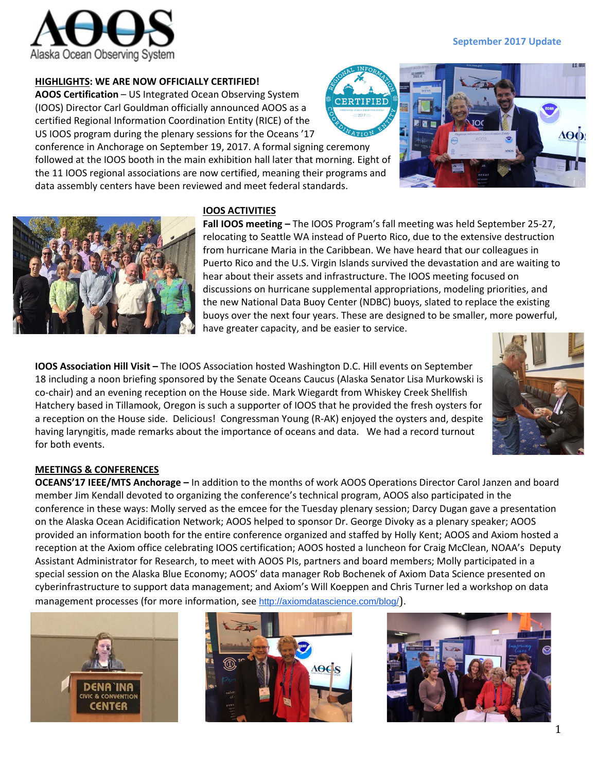

# **HIGHLIGHTS: WE ARE NOW OFFICIALLY CERTIFIED!**

**AOOS Certification** – US Integrated Ocean Observing System (IOOS) Director Carl Gouldman officially announced AOOS as a certified Regional Information Coordination Entity (RICE) of the US IOOS program during the plenary sessions for the Oceans '17

conference in Anchorage on September 19, 2017. A formal signing ceremony followed at the IOOS booth in the main exhibition hall later that morning. Eight of the 11 IOOS regional associations are now certified, meaning their programs and data assembly centers have been reviewed and meet federal standards.

# **IOOS ACTIVITIES**

**Fall IOOS meeting –** The IOOS Program's fall meeting was held September 25-27, relocating to Seattle WA instead of Puerto Rico, due to the extensive destruction from hurricane Maria in the Caribbean. We have heard that our colleagues in Puerto Rico and the U.S. Virgin Islands survived the devastation and are waiting to hear about their assets and infrastructure. The IOOS meeting focused on discussions on hurricane supplemental appropriations, modeling priorities, and the new National Data Buoy Center (NDBC) buoys, slated to replace the existing buoys over the next four years. These are designed to be smaller, more powerful, have greater capacity, and be easier to service.

**IOOS Association Hill Visit –** The IOOS Association hosted Washington D.C. Hill events on September 18 including a noon briefing sponsored by the Senate Oceans Caucus (Alaska Senator Lisa Murkowski is co-chair) and an evening reception on the House side. Mark Wiegardt from Whiskey Creek Shellfish Hatchery based in Tillamook, Oregon is such a supporter of IOOS that he provided the fresh oysters for a reception on the House side. Delicious! Congressman Young (R-AK) enjoyed the oysters and, despite having laryngitis, made remarks about the importance of oceans and data. We had a record turnout for both events.

# **MEETINGS & CONFERENCES**

**OCEANS'17 IEEE/MTS Anchorage –** In addition to the months of work AOOS Operations Director Carol Janzen and board member Jim Kendall devoted to organizing the conference's technical program, AOOS also participated in the conference in these ways: Molly served as the emcee for the Tuesday plenary session; Darcy Dugan gave a presentation on the Alaska Ocean Acidification Network; AOOS helped to sponsor Dr. George Divoky as a plenary speaker; AOOS provided an information booth for the entire conference organized and staffed by Holly Kent; AOOS and Axiom hosted a reception at the Axiom office celebrating IOOS certification; AOOS hosted a luncheon for Craig McClean, NOAA's Deputy Assistant Administrator for Research, to meet with AOOS PIs, partners and board members; Molly participated in a special session on the Alaska Blue Economy; AOOS' data manager Rob Bochenek of Axiom Data Science presented on cyberinfrastructure to support data management; and Axiom's Will Koeppen and Chris Turner led a workshop on data management processes (for more information, see <http://axiomdatascience.com/blog/>).



CENTER







NORR

**AOO!**